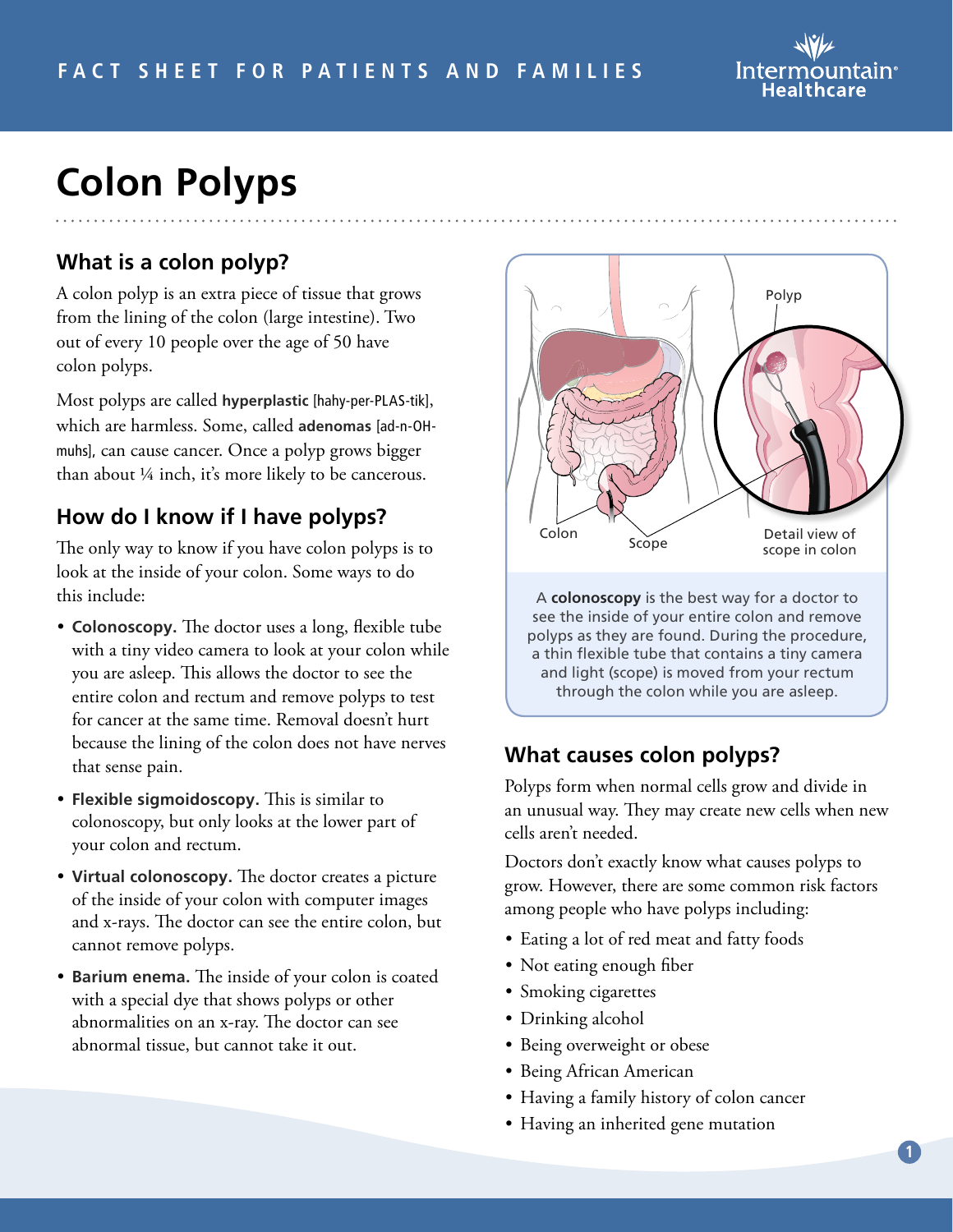

# **Colon Polyps**

## **What is a colon polyp?**

A colon polyp is an extra piece of tissue that grows from the lining of the colon (large intestine). Two out of every 10 people over the age of 50 have colon polyps.

Most polyps are called **hyperplastic** [hahy-per-PLAS-tik], which are harmless. Some, called **adenomas** [ad-n-OHmuhs], can cause cancer. Once a polyp grows bigger than about ¼ inch, it's more likely to be cancerous.

### **How do I know if I have polyps?**

The only way to know if you have colon polyps is to look at the inside of your colon. Some ways to do this include:

- **Colonoscopy.** The doctor uses a long, flexible tube with a tiny video camera to look at your colon while you are asleep. This allows the doctor to see the entire colon and rectum and remove polyps to test for cancer at the same time. Removal doesn't hurt because the lining of the colon does not have nerves that sense pain.
- **Flexible sigmoidoscopy.** This is similar to colonoscopy, but only looks at the lower part of your colon and rectum.
- **Virtual colonoscopy.** The doctor creates a picture of the inside of your colon with computer images and x-rays. The doctor can see the entire colon, but cannot remove polyps.
- **Barium enema.** The inside of your colon is coated with a special dye that shows polyps or other abnormalities on an x-ray. The doctor can see abnormal tissue, but cannot take it out.



#### **What causes colon polyps?**

Polyps form when normal cells grow and divide in an unusual way. They may create new cells when new cells aren't needed.

Doctors don't exactly know what causes polyps to grow. However, there are some common risk factors among people who have polyps including:

- Eating a lot of red meat and fatty foods
- Not eating enough fiber
- Smoking cigarettes
- Drinking alcohol
- Being overweight or obese
- Being African American
- Having a family history of colon cancer
- Having an inherited gene mutation